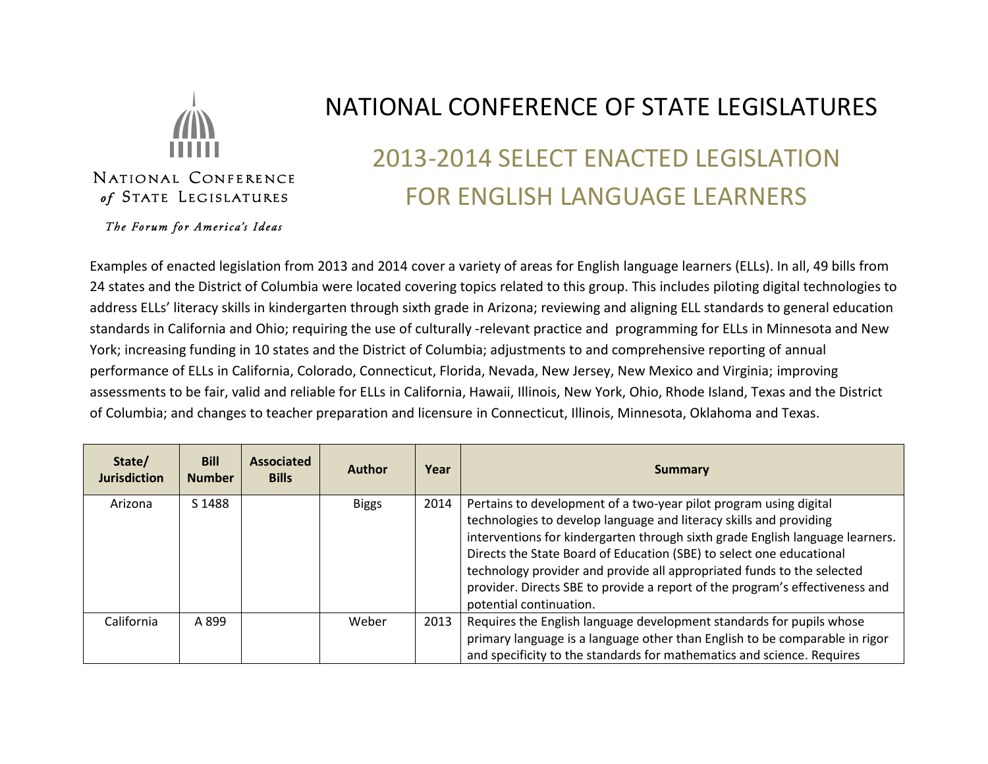

## NATIONAL CONFERENCE of STATE LEGISLATURES

The Forum for America's Ideas

## NATIONAL CONFERENCE OF STATE LEGISLATURES 2013-2014 SELECT ENACTED LEGISLATION FOR ENGLISH LANGUAGE LEARNERS

Examples of enacted legislation from 2013 and 2014 cover a variety of areas for English language learners (ELLs). In all, 49 bills from 24 states and the District of Columbia were located covering topics related to this group. This includes piloting digital technologies to address ELLs' literacy skills in kindergarten through sixth grade in Arizona; reviewing and aligning ELL standards to general education standards in California and Ohio; requiring the use of culturally -relevant practice and programming for ELLs in Minnesota and New York; increasing funding in 10 states and the District of Columbia; adjustments to and comprehensive reporting of annual performance of ELLs in California, Colorado, Connecticut, Florida, Nevada, New Jersey, New Mexico and Virginia; improving assessments to be fair, valid and reliable for ELLs in California, Hawaii, Illinois, New York, Ohio, Rhode Island, Texas and the District of Columbia; and changes to teacher preparation and licensure in Connecticut, Illinois, Minnesota, Oklahoma and Texas.

| State/<br><b>Jurisdiction</b> | <b>Bill</b><br><b>Number</b> | <b>Associated</b><br><b>Bills</b> | <b>Author</b> | Year | Summary                                                                                                                                                                                                                                                                                                                                                                                                                                                                               |
|-------------------------------|------------------------------|-----------------------------------|---------------|------|---------------------------------------------------------------------------------------------------------------------------------------------------------------------------------------------------------------------------------------------------------------------------------------------------------------------------------------------------------------------------------------------------------------------------------------------------------------------------------------|
| Arizona                       | S 1488                       |                                   | <b>Biggs</b>  | 2014 | Pertains to development of a two-year pilot program using digital<br>technologies to develop language and literacy skills and providing<br>interventions for kindergarten through sixth grade English language learners.<br>Directs the State Board of Education (SBE) to select one educational<br>technology provider and provide all appropriated funds to the selected<br>provider. Directs SBE to provide a report of the program's effectiveness and<br>potential continuation. |
| California                    | A 899                        |                                   | Weber         | 2013 | Requires the English language development standards for pupils whose<br>primary language is a language other than English to be comparable in rigor<br>and specificity to the standards for mathematics and science. Requires                                                                                                                                                                                                                                                         |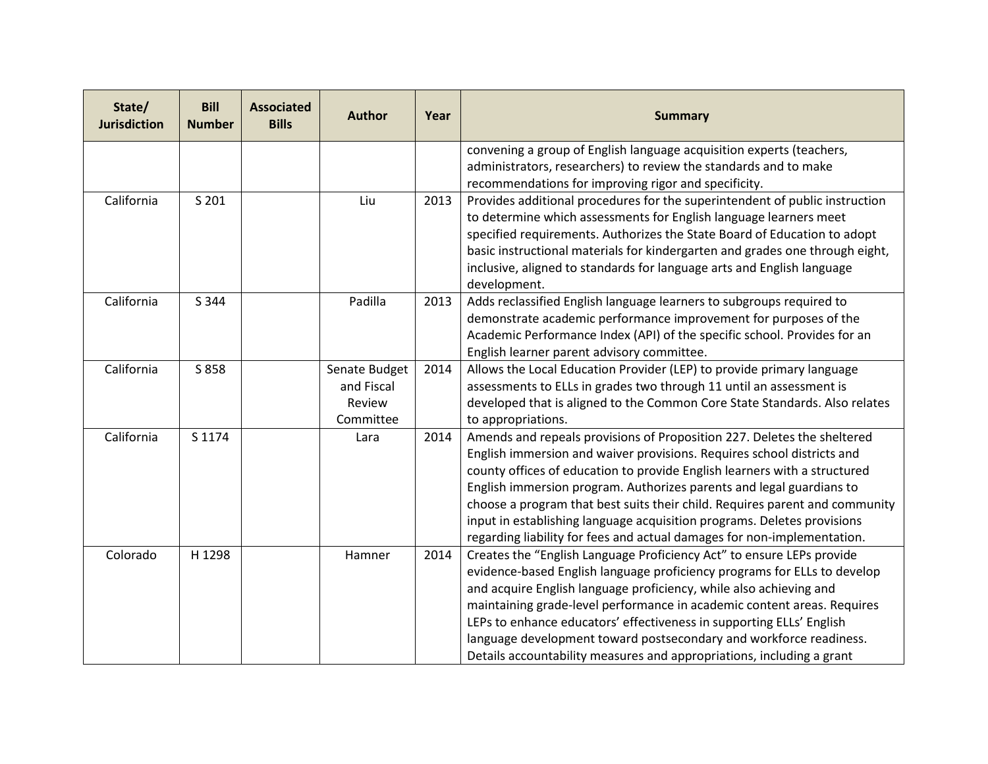| State/<br><b>Jurisdiction</b> | <b>Bill</b><br><b>Number</b> | <b>Associated</b><br><b>Bills</b> | <b>Author</b>                                      | Year | <b>Summary</b>                                                                                                                                                                                                                                                                                                                                                                                                                                                                                                                              |
|-------------------------------|------------------------------|-----------------------------------|----------------------------------------------------|------|---------------------------------------------------------------------------------------------------------------------------------------------------------------------------------------------------------------------------------------------------------------------------------------------------------------------------------------------------------------------------------------------------------------------------------------------------------------------------------------------------------------------------------------------|
|                               |                              |                                   |                                                    |      | convening a group of English language acquisition experts (teachers,<br>administrators, researchers) to review the standards and to make<br>recommendations for improving rigor and specificity.                                                                                                                                                                                                                                                                                                                                            |
| California                    | S 201                        |                                   | Liu                                                | 2013 | Provides additional procedures for the superintendent of public instruction<br>to determine which assessments for English language learners meet<br>specified requirements. Authorizes the State Board of Education to adopt<br>basic instructional materials for kindergarten and grades one through eight,<br>inclusive, aligned to standards for language arts and English language<br>development.                                                                                                                                      |
| California                    | S 344                        |                                   | Padilla                                            | 2013 | Adds reclassified English language learners to subgroups required to<br>demonstrate academic performance improvement for purposes of the<br>Academic Performance Index (API) of the specific school. Provides for an<br>English learner parent advisory committee.                                                                                                                                                                                                                                                                          |
| California                    | S 858                        |                                   | Senate Budget<br>and Fiscal<br>Review<br>Committee | 2014 | Allows the Local Education Provider (LEP) to provide primary language<br>assessments to ELLs in grades two through 11 until an assessment is<br>developed that is aligned to the Common Core State Standards. Also relates<br>to appropriations.                                                                                                                                                                                                                                                                                            |
| California                    | S 1174                       |                                   | Lara                                               | 2014 | Amends and repeals provisions of Proposition 227. Deletes the sheltered<br>English immersion and waiver provisions. Requires school districts and<br>county offices of education to provide English learners with a structured<br>English immersion program. Authorizes parents and legal guardians to<br>choose a program that best suits their child. Requires parent and community<br>input in establishing language acquisition programs. Deletes provisions<br>regarding liability for fees and actual damages for non-implementation. |
| Colorado                      | H 1298                       |                                   | Hamner                                             | 2014 | Creates the "English Language Proficiency Act" to ensure LEPs provide<br>evidence-based English language proficiency programs for ELLs to develop<br>and acquire English language proficiency, while also achieving and<br>maintaining grade-level performance in academic content areas. Requires<br>LEPs to enhance educators' effectiveness in supporting ELLs' English<br>language development toward postsecondary and workforce readiness.<br>Details accountability measures and appropriations, including a grant                   |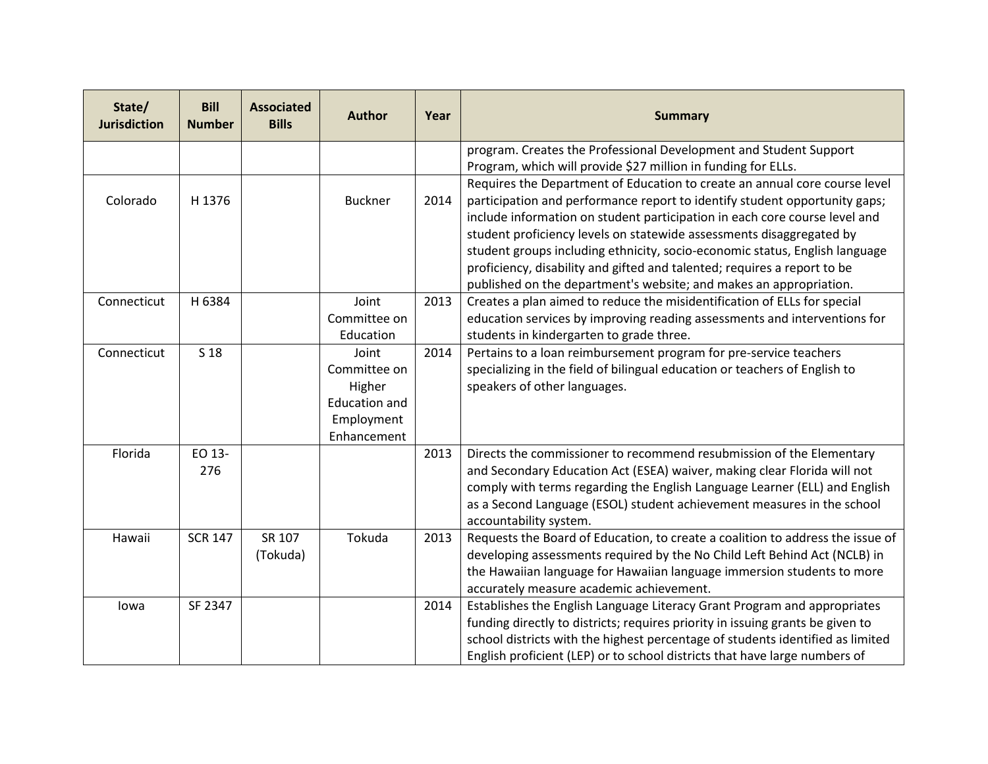| State/<br><b>Jurisdiction</b> | <b>Bill</b><br><b>Number</b> | <b>Associated</b><br><b>Bills</b> | <b>Author</b>                                                                        | Year | <b>Summary</b>                                                                                                                                                                                                                                                                                                                                                                                                                                                                                                                                  |
|-------------------------------|------------------------------|-----------------------------------|--------------------------------------------------------------------------------------|------|-------------------------------------------------------------------------------------------------------------------------------------------------------------------------------------------------------------------------------------------------------------------------------------------------------------------------------------------------------------------------------------------------------------------------------------------------------------------------------------------------------------------------------------------------|
|                               |                              |                                   |                                                                                      |      | program. Creates the Professional Development and Student Support<br>Program, which will provide \$27 million in funding for ELLs.                                                                                                                                                                                                                                                                                                                                                                                                              |
| Colorado                      | H 1376                       |                                   | <b>Buckner</b>                                                                       | 2014 | Requires the Department of Education to create an annual core course level<br>participation and performance report to identify student opportunity gaps;<br>include information on student participation in each core course level and<br>student proficiency levels on statewide assessments disaggregated by<br>student groups including ethnicity, socio-economic status, English language<br>proficiency, disability and gifted and talented; requires a report to be<br>published on the department's website; and makes an appropriation. |
| Connecticut                   | H 6384                       |                                   | Joint<br>Committee on<br>Education                                                   | 2013 | Creates a plan aimed to reduce the misidentification of ELLs for special<br>education services by improving reading assessments and interventions for<br>students in kindergarten to grade three.                                                                                                                                                                                                                                                                                                                                               |
| Connecticut                   | S 18                         |                                   | Joint<br>Committee on<br>Higher<br><b>Education and</b><br>Employment<br>Enhancement | 2014 | Pertains to a loan reimbursement program for pre-service teachers<br>specializing in the field of bilingual education or teachers of English to<br>speakers of other languages.                                                                                                                                                                                                                                                                                                                                                                 |
| Florida                       | EO 13-<br>276                |                                   |                                                                                      | 2013 | Directs the commissioner to recommend resubmission of the Elementary<br>and Secondary Education Act (ESEA) waiver, making clear Florida will not<br>comply with terms regarding the English Language Learner (ELL) and English<br>as a Second Language (ESOL) student achievement measures in the school<br>accountability system.                                                                                                                                                                                                              |
| Hawaii                        | <b>SCR 147</b>               | SR 107<br>(Tokuda)                | Tokuda                                                                               | 2013 | Requests the Board of Education, to create a coalition to address the issue of<br>developing assessments required by the No Child Left Behind Act (NCLB) in<br>the Hawaiian language for Hawaiian language immersion students to more<br>accurately measure academic achievement.                                                                                                                                                                                                                                                               |
| lowa                          | SF 2347                      |                                   |                                                                                      | 2014 | Establishes the English Language Literacy Grant Program and appropriates<br>funding directly to districts; requires priority in issuing grants be given to<br>school districts with the highest percentage of students identified as limited<br>English proficient (LEP) or to school districts that have large numbers of                                                                                                                                                                                                                      |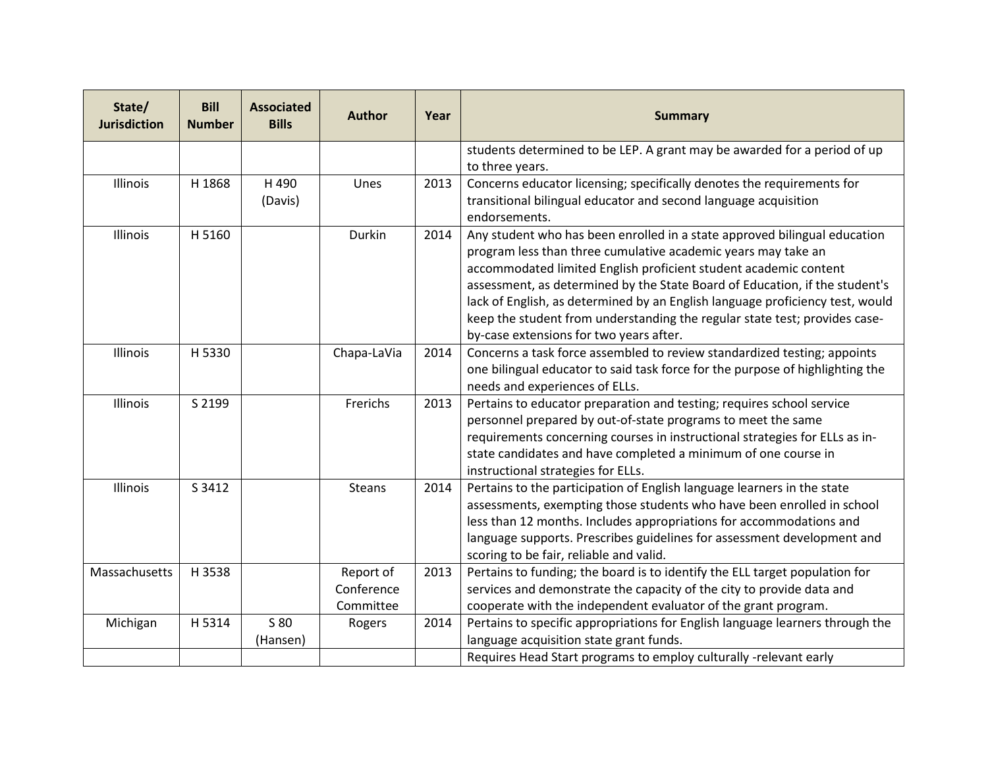| State/<br><b>Jurisdiction</b> | <b>Bill</b><br><b>Number</b> | <b>Associated</b><br><b>Bills</b> | <b>Author</b>                        | Year | <b>Summary</b>                                                                                                                                                                                                                                                                                                                                                                                                                                                                                          |
|-------------------------------|------------------------------|-----------------------------------|--------------------------------------|------|---------------------------------------------------------------------------------------------------------------------------------------------------------------------------------------------------------------------------------------------------------------------------------------------------------------------------------------------------------------------------------------------------------------------------------------------------------------------------------------------------------|
|                               |                              |                                   |                                      |      | students determined to be LEP. A grant may be awarded for a period of up<br>to three years.                                                                                                                                                                                                                                                                                                                                                                                                             |
| Illinois                      | H 1868                       | H 490<br>(Davis)                  | Unes                                 | 2013 | Concerns educator licensing; specifically denotes the requirements for<br>transitional bilingual educator and second language acquisition<br>endorsements.                                                                                                                                                                                                                                                                                                                                              |
| Illinois                      | H 5160                       |                                   | Durkin                               | 2014 | Any student who has been enrolled in a state approved bilingual education<br>program less than three cumulative academic years may take an<br>accommodated limited English proficient student academic content<br>assessment, as determined by the State Board of Education, if the student's<br>lack of English, as determined by an English language proficiency test, would<br>keep the student from understanding the regular state test; provides case-<br>by-case extensions for two years after. |
| Illinois                      | H5330                        |                                   | Chapa-LaVia                          | 2014 | Concerns a task force assembled to review standardized testing; appoints<br>one bilingual educator to said task force for the purpose of highlighting the<br>needs and experiences of ELLs.                                                                                                                                                                                                                                                                                                             |
| Illinois                      | S 2199                       |                                   | Frerichs                             | 2013 | Pertains to educator preparation and testing; requires school service<br>personnel prepared by out-of-state programs to meet the same<br>requirements concerning courses in instructional strategies for ELLs as in-<br>state candidates and have completed a minimum of one course in<br>instructional strategies for ELLs.                                                                                                                                                                            |
| Illinois                      | S 3412                       |                                   | <b>Steans</b>                        | 2014 | Pertains to the participation of English language learners in the state<br>assessments, exempting those students who have been enrolled in school<br>less than 12 months. Includes appropriations for accommodations and<br>language supports. Prescribes guidelines for assessment development and<br>scoring to be fair, reliable and valid.                                                                                                                                                          |
| Massachusetts                 | H3538                        |                                   | Report of<br>Conference<br>Committee | 2013 | Pertains to funding; the board is to identify the ELL target population for<br>services and demonstrate the capacity of the city to provide data and<br>cooperate with the independent evaluator of the grant program.                                                                                                                                                                                                                                                                                  |
| Michigan                      | H 5314                       | S 80<br>(Hansen)                  | Rogers                               | 2014 | Pertains to specific appropriations for English language learners through the<br>language acquisition state grant funds.                                                                                                                                                                                                                                                                                                                                                                                |
|                               |                              |                                   |                                      |      | Requires Head Start programs to employ culturally -relevant early                                                                                                                                                                                                                                                                                                                                                                                                                                       |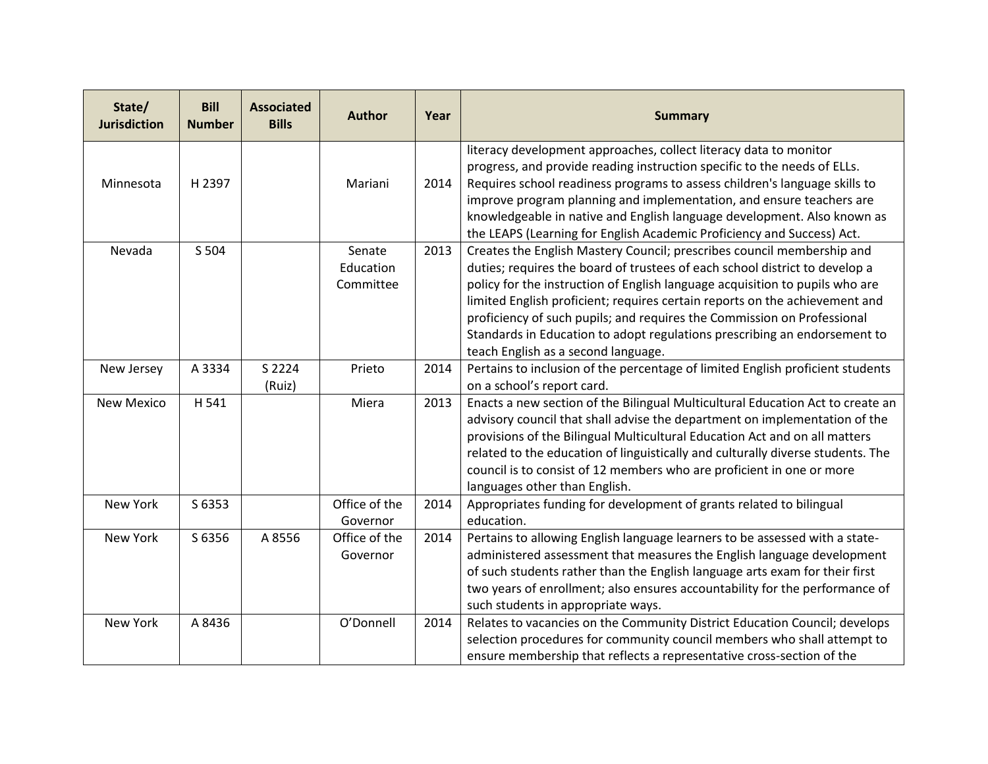| State/<br><b>Jurisdiction</b> | <b>Bill</b><br><b>Number</b> | <b>Associated</b><br><b>Bills</b> | <b>Author</b>                    | Year | <b>Summary</b>                                                                                                                                                                                                                                                                                                                                                                                                                                                                                                      |
|-------------------------------|------------------------------|-----------------------------------|----------------------------------|------|---------------------------------------------------------------------------------------------------------------------------------------------------------------------------------------------------------------------------------------------------------------------------------------------------------------------------------------------------------------------------------------------------------------------------------------------------------------------------------------------------------------------|
| Minnesota                     | H 2397                       |                                   | Mariani                          | 2014 | literacy development approaches, collect literacy data to monitor<br>progress, and provide reading instruction specific to the needs of ELLs.<br>Requires school readiness programs to assess children's language skills to<br>improve program planning and implementation, and ensure teachers are<br>knowledgeable in native and English language development. Also known as<br>the LEAPS (Learning for English Academic Proficiency and Success) Act.                                                            |
| Nevada                        | S 504                        |                                   | Senate<br>Education<br>Committee | 2013 | Creates the English Mastery Council; prescribes council membership and<br>duties; requires the board of trustees of each school district to develop a<br>policy for the instruction of English language acquisition to pupils who are<br>limited English proficient; requires certain reports on the achievement and<br>proficiency of such pupils; and requires the Commission on Professional<br>Standards in Education to adopt regulations prescribing an endorsement to<br>teach English as a second language. |
| New Jersey                    | A 3334                       | S 2224<br>(Ruiz)                  | Prieto                           | 2014 | Pertains to inclusion of the percentage of limited English proficient students<br>on a school's report card.                                                                                                                                                                                                                                                                                                                                                                                                        |
| <b>New Mexico</b>             | H 541                        |                                   | Miera                            | 2013 | Enacts a new section of the Bilingual Multicultural Education Act to create an<br>advisory council that shall advise the department on implementation of the<br>provisions of the Bilingual Multicultural Education Act and on all matters<br>related to the education of linguistically and culturally diverse students. The<br>council is to consist of 12 members who are proficient in one or more<br>languages other than English.                                                                             |
| New York                      | S 6353                       |                                   | Office of the<br>Governor        | 2014 | Appropriates funding for development of grants related to bilingual<br>education.                                                                                                                                                                                                                                                                                                                                                                                                                                   |
| New York                      | S 6356                       | A 8556                            | Office of the<br>Governor        | 2014 | Pertains to allowing English language learners to be assessed with a state-<br>administered assessment that measures the English language development<br>of such students rather than the English language arts exam for their first<br>two years of enrollment; also ensures accountability for the performance of<br>such students in appropriate ways.                                                                                                                                                           |
| New York                      | A 8436                       |                                   | O'Donnell                        | 2014 | Relates to vacancies on the Community District Education Council; develops<br>selection procedures for community council members who shall attempt to<br>ensure membership that reflects a representative cross-section of the                                                                                                                                                                                                                                                                                      |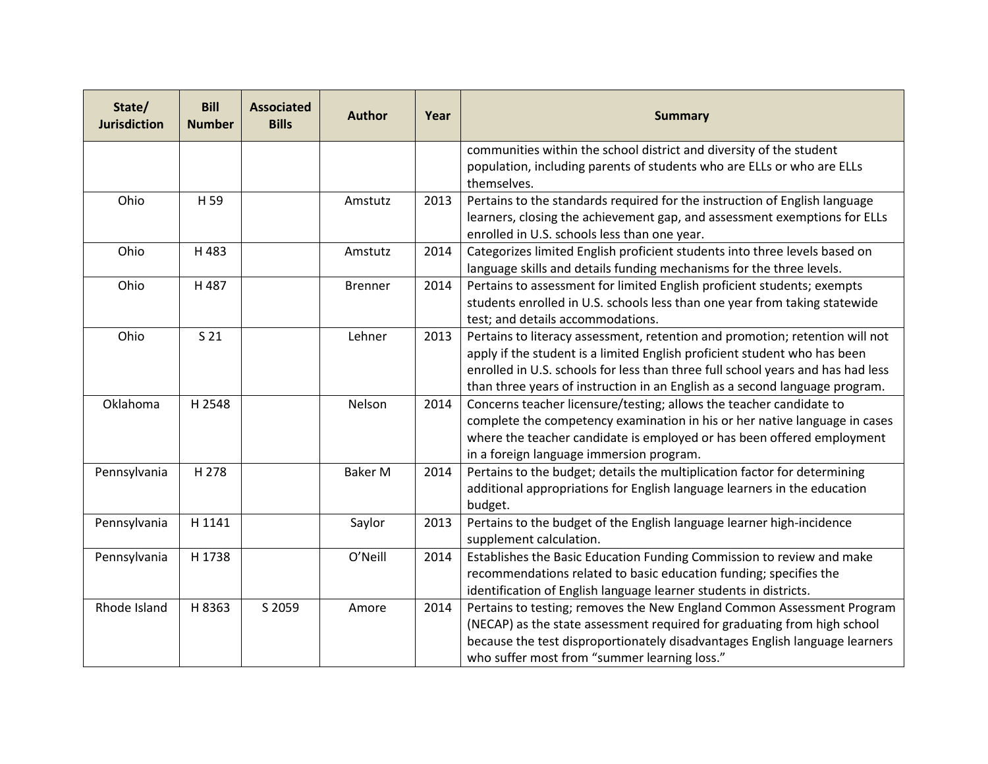| State/<br><b>Jurisdiction</b> | <b>Bill</b><br><b>Number</b> | <b>Associated</b><br><b>Bills</b> | <b>Author</b>  | Year | <b>Summary</b>                                                                                                                                                                                                                                                                                                              |
|-------------------------------|------------------------------|-----------------------------------|----------------|------|-----------------------------------------------------------------------------------------------------------------------------------------------------------------------------------------------------------------------------------------------------------------------------------------------------------------------------|
|                               |                              |                                   |                |      | communities within the school district and diversity of the student<br>population, including parents of students who are ELLs or who are ELLs<br>themselves.                                                                                                                                                                |
| Ohio                          | H 59                         |                                   | Amstutz        | 2013 | Pertains to the standards required for the instruction of English language<br>learners, closing the achievement gap, and assessment exemptions for ELLs<br>enrolled in U.S. schools less than one year.                                                                                                                     |
| Ohio                          | H483                         |                                   | Amstutz        | 2014 | Categorizes limited English proficient students into three levels based on<br>language skills and details funding mechanisms for the three levels.                                                                                                                                                                          |
| Ohio                          | H487                         |                                   | <b>Brenner</b> | 2014 | Pertains to assessment for limited English proficient students; exempts<br>students enrolled in U.S. schools less than one year from taking statewide<br>test; and details accommodations.                                                                                                                                  |
| Ohio                          | S <sub>21</sub>              |                                   | Lehner         | 2013 | Pertains to literacy assessment, retention and promotion; retention will not<br>apply if the student is a limited English proficient student who has been<br>enrolled in U.S. schools for less than three full school years and has had less<br>than three years of instruction in an English as a second language program. |
| Oklahoma                      | H 2548                       |                                   | Nelson         | 2014 | Concerns teacher licensure/testing; allows the teacher candidate to<br>complete the competency examination in his or her native language in cases<br>where the teacher candidate is employed or has been offered employment<br>in a foreign language immersion program.                                                     |
| Pennsylvania                  | H 278                        |                                   | <b>Baker M</b> | 2014 | Pertains to the budget; details the multiplication factor for determining<br>additional appropriations for English language learners in the education<br>budget.                                                                                                                                                            |
| Pennsylvania                  | H 1141                       |                                   | Saylor         | 2013 | Pertains to the budget of the English language learner high-incidence<br>supplement calculation.                                                                                                                                                                                                                            |
| Pennsylvania                  | H 1738                       |                                   | O'Neill        | 2014 | Establishes the Basic Education Funding Commission to review and make<br>recommendations related to basic education funding; specifies the<br>identification of English language learner students in districts.                                                                                                             |
| Rhode Island                  | H 8363                       | S 2059                            | Amore          | 2014 | Pertains to testing; removes the New England Common Assessment Program<br>(NECAP) as the state assessment required for graduating from high school<br>because the test disproportionately disadvantages English language learners<br>who suffer most from "summer learning loss."                                           |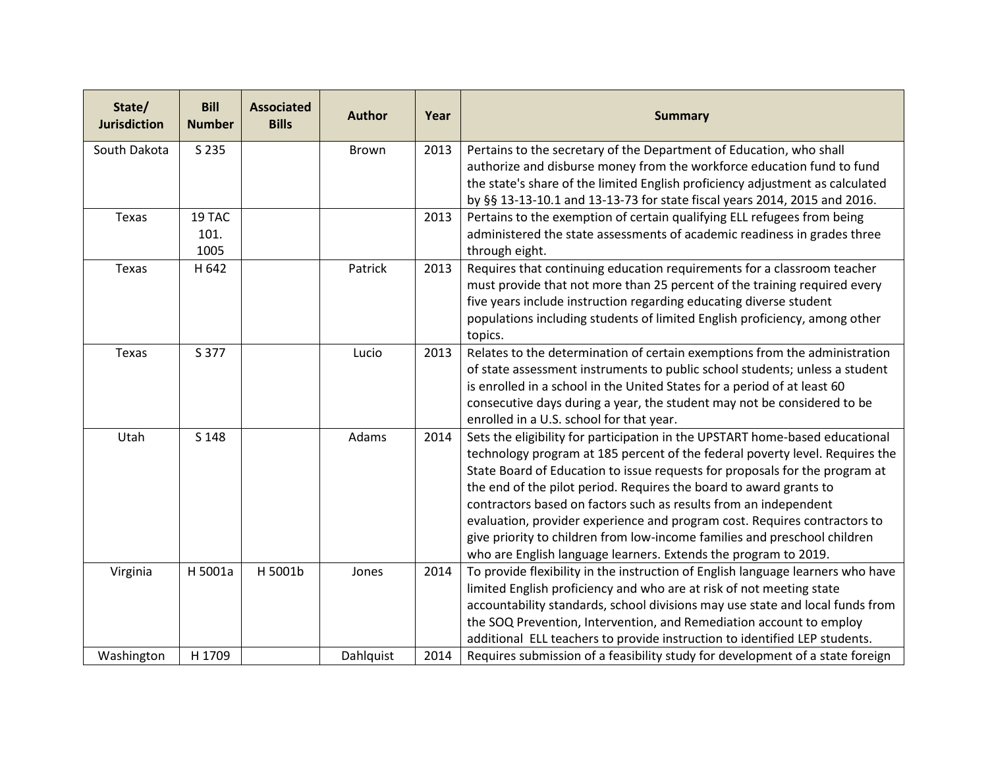| State/<br><b>Jurisdiction</b> | <b>Bill</b><br><b>Number</b> | <b>Associated</b><br><b>Bills</b> | <b>Author</b> | Year | <b>Summary</b>                                                                                                                                                                                                                                                                                                                                                                                                                                                                                                                                                                                                     |
|-------------------------------|------------------------------|-----------------------------------|---------------|------|--------------------------------------------------------------------------------------------------------------------------------------------------------------------------------------------------------------------------------------------------------------------------------------------------------------------------------------------------------------------------------------------------------------------------------------------------------------------------------------------------------------------------------------------------------------------------------------------------------------------|
| South Dakota                  | S 235                        |                                   | Brown         | 2013 | Pertains to the secretary of the Department of Education, who shall<br>authorize and disburse money from the workforce education fund to fund<br>the state's share of the limited English proficiency adjustment as calculated<br>by §§ 13-13-10.1 and 13-13-73 for state fiscal years 2014, 2015 and 2016.                                                                                                                                                                                                                                                                                                        |
| Texas                         | 19 TAC<br>101.<br>1005       |                                   |               | 2013 | Pertains to the exemption of certain qualifying ELL refugees from being<br>administered the state assessments of academic readiness in grades three<br>through eight.                                                                                                                                                                                                                                                                                                                                                                                                                                              |
| Texas                         | H 642                        |                                   | Patrick       | 2013 | Requires that continuing education requirements for a classroom teacher<br>must provide that not more than 25 percent of the training required every<br>five years include instruction regarding educating diverse student<br>populations including students of limited English proficiency, among other<br>topics.                                                                                                                                                                                                                                                                                                |
| Texas                         | S 377                        |                                   | Lucio         | 2013 | Relates to the determination of certain exemptions from the administration<br>of state assessment instruments to public school students; unless a student<br>is enrolled in a school in the United States for a period of at least 60<br>consecutive days during a year, the student may not be considered to be<br>enrolled in a U.S. school for that year.                                                                                                                                                                                                                                                       |
| Utah                          | S 148                        |                                   | Adams         | 2014 | Sets the eligibility for participation in the UPSTART home-based educational<br>technology program at 185 percent of the federal poverty level. Requires the<br>State Board of Education to issue requests for proposals for the program at<br>the end of the pilot period. Requires the board to award grants to<br>contractors based on factors such as results from an independent<br>evaluation, provider experience and program cost. Requires contractors to<br>give priority to children from low-income families and preschool children<br>who are English language learners. Extends the program to 2019. |
| Virginia                      | H 5001a                      | H 5001b                           | Jones         | 2014 | To provide flexibility in the instruction of English language learners who have<br>limited English proficiency and who are at risk of not meeting state<br>accountability standards, school divisions may use state and local funds from<br>the SOQ Prevention, Intervention, and Remediation account to employ<br>additional ELL teachers to provide instruction to identified LEP students.                                                                                                                                                                                                                      |
| Washington                    | H 1709                       |                                   | Dahlquist     | 2014 | Requires submission of a feasibility study for development of a state foreign                                                                                                                                                                                                                                                                                                                                                                                                                                                                                                                                      |